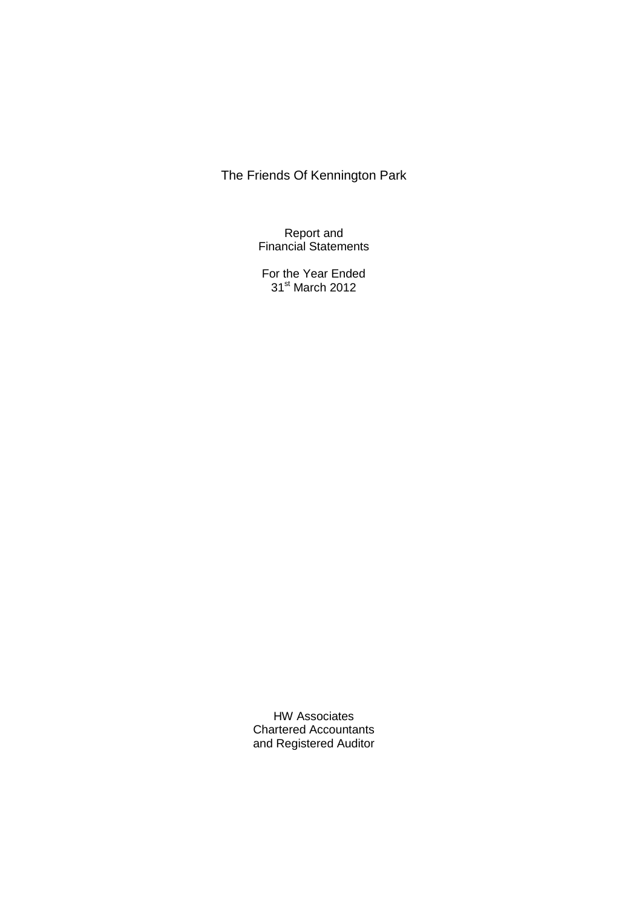Report and Financial Statements

For the Year Ended 31st March 2012

HW Associates Chartered Accountants and Registered Auditor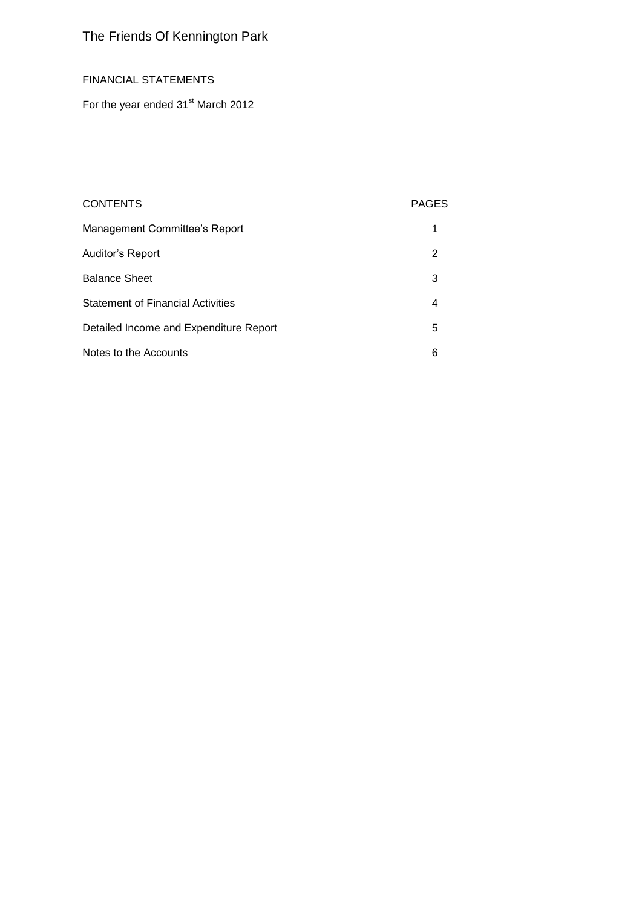## FINANCIAL STATEMENTS

For the year ended 31<sup>st</sup> March 2012

## CONTENTS PAGES

| Management Committee's Report            |    |
|------------------------------------------|----|
| Auditor's Report                         | 2  |
| <b>Balance Sheet</b>                     | 3  |
| <b>Statement of Financial Activities</b> | 4  |
| Detailed Income and Expenditure Report   | 5. |
| Notes to the Accounts                    | 6  |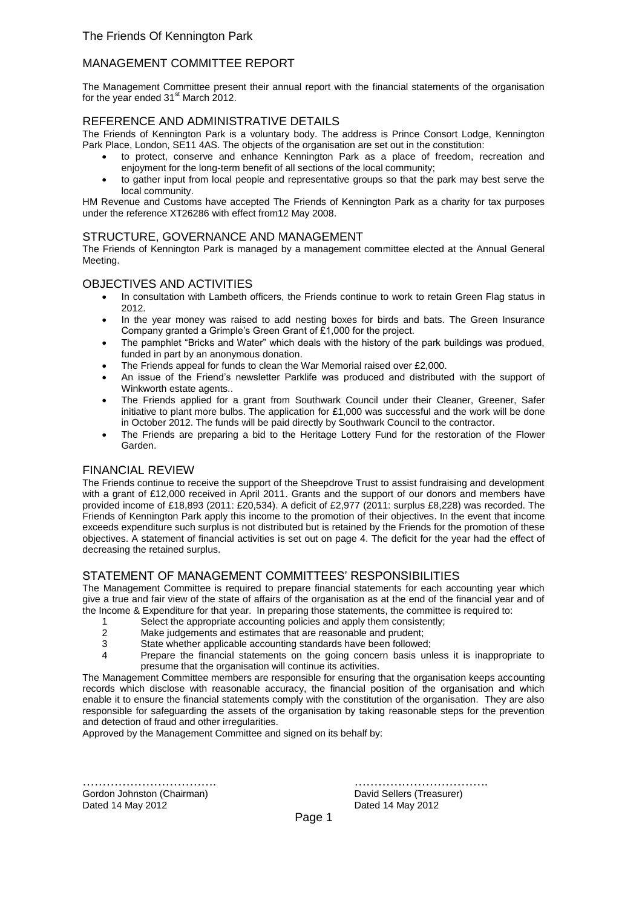## MANAGEMENT COMMITTEE REPORT

The Management Committee present their annual report with the financial statements of the organisation for the year ended  $31<sup>st</sup>$  March 2012.

## REFERENCE AND ADMINISTRATIVE DETAILS

The Friends of Kennington Park is a voluntary body. The address is Prince Consort Lodge, Kennington Park Place, London, SE11 4AS. The objects of the organisation are set out in the constitution:

- to protect, conserve and enhance Kennington Park as a place of freedom, recreation and enjoyment for the long-term benefit of all sections of the local community;
- to gather input from local people and representative groups so that the park may best serve the local community.

HM Revenue and Customs have accepted The Friends of Kennington Park as a charity for tax purposes under the reference XT26286 with effect from12 May 2008.

## STRUCTURE, GOVERNANCE AND MANAGEMENT

The Friends of Kennington Park is managed by a management committee elected at the Annual General Meeting.

### OBJECTIVES AND ACTIVITIES

- In consultation with Lambeth officers, the Friends continue to work to retain Green Flag status in 2012.
- In the year money was raised to add nesting boxes for birds and bats. The Green Insurance Company granted a Grimple's Green Grant of £1,000 for the project.
- The pamphlet "Bricks and Water" which deals with the history of the park buildings was produed, funded in part by an anonymous donation.
- The Friends appeal for funds to clean the War Memorial raised over £2,000.
- An issue of the Friend's newsletter Parklife was produced and distributed with the support of Winkworth estate agents..
- The Friends applied for a grant from Southwark Council under their Cleaner, Greener, Safer initiative to plant more bulbs. The application for £1,000 was successful and the work will be done in October 2012. The funds will be paid directly by Southwark Council to the contractor.
- The Friends are preparing a bid to the Heritage Lottery Fund for the restoration of the Flower Garden.

## FINANCIAL REVIEW

The Friends continue to receive the support of the Sheepdrove Trust to assist fundraising and development with a grant of £12,000 received in April 2011. Grants and the support of our donors and members have provided income of £18,893 (2011: £20,534). A deficit of £2,977 (2011: surplus £8,228) was recorded. The Friends of Kennington Park apply this income to the promotion of their objectives. In the event that income exceeds expenditure such surplus is not distributed but is retained by the Friends for the promotion of these objectives. A statement of financial activities is set out on page 4. The deficit for the year had the effect of decreasing the retained surplus.

## STATEMENT OF MANAGEMENT COMMITTEES' RESPONSIBILITIES

The Management Committee is required to prepare financial statements for each accounting year which give a true and fair view of the state of affairs of the organisation as at the end of the financial year and of the Income & Expenditure for that year. In preparing those statements, the committee is required to:

- 1 Select the appropriate accounting policies and apply them consistently;<br>2 Make judgements and estimates that are reasonable and prudent:
- Make judgements and estimates that are reasonable and prudent;
- 3 State whether applicable accounting standards have been followed;
- 4 Prepare the financial statements on the going concern basis unless it is inappropriate to presume that the organisation will continue its activities.

The Management Committee members are responsible for ensuring that the organisation keeps accounting records which disclose with reasonable accuracy, the financial position of the organisation and which enable it to ensure the financial statements comply with the constitution of the organisation. They are also responsible for safeguarding the assets of the organisation by taking reasonable steps for the prevention and detection of fraud and other irregularities.

Approved by the Management Committee and signed on its behalf by:

Gordon Johnston (Chairman) David Sellers (Treasurer) Dated 14 May 2012 **Dated 14 May 2012** 

……………………………. …………………………….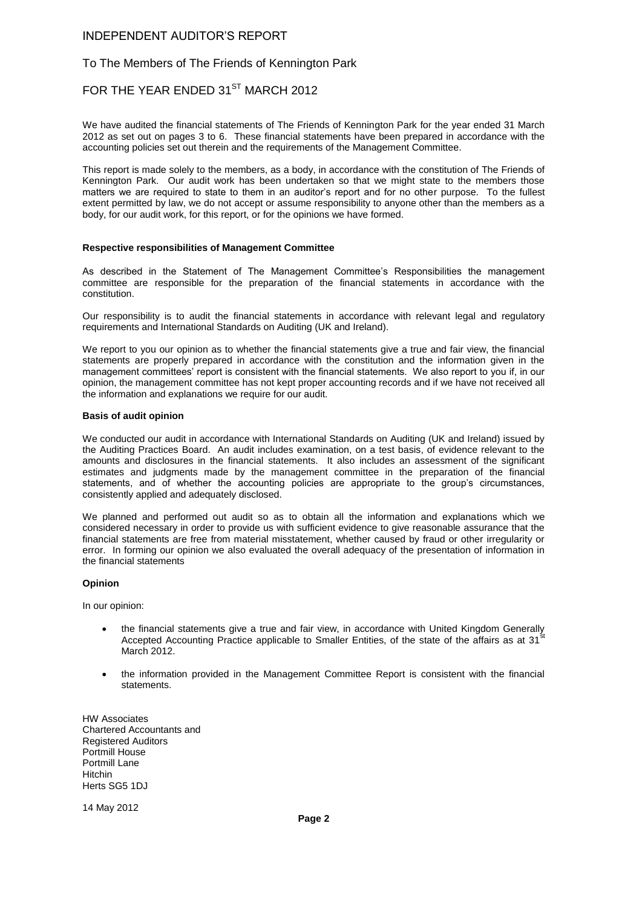### INDEPENDENT AUDITOR'S REPORT

### To The Members of The Friends of Kennington Park

## FOR THE YEAR ENDED 31<sup>ST</sup> MARCH 2012

We have audited the financial statements of The Friends of Kennington Park for the year ended 31 March 2012 as set out on pages 3 to 6. These financial statements have been prepared in accordance with the accounting policies set out therein and the requirements of the Management Committee.

This report is made solely to the members, as a body, in accordance with the constitution of The Friends of Kennington Park. Our audit work has been undertaken so that we might state to the members those matters we are required to state to them in an auditor's report and for no other purpose. To the fullest extent permitted by law, we do not accept or assume responsibility to anyone other than the members as a body, for our audit work, for this report, or for the opinions we have formed.

#### **Respective responsibilities of Management Committee**

As described in the Statement of The Management Committee's Responsibilities the management committee are responsible for the preparation of the financial statements in accordance with the constitution.

Our responsibility is to audit the financial statements in accordance with relevant legal and regulatory requirements and International Standards on Auditing (UK and Ireland).

We report to you our opinion as to whether the financial statements give a true and fair view, the financial statements are properly prepared in accordance with the constitution and the information given in the management committees' report is consistent with the financial statements. We also report to you if, in our opinion, the management committee has not kept proper accounting records and if we have not received all the information and explanations we require for our audit.

#### **Basis of audit opinion**

We conducted our audit in accordance with International Standards on Auditing (UK and Ireland) issued by the Auditing Practices Board. An audit includes examination, on a test basis, of evidence relevant to the amounts and disclosures in the financial statements. It also includes an assessment of the significant estimates and judgments made by the management committee in the preparation of the financial statements, and of whether the accounting policies are appropriate to the group's circumstances, consistently applied and adequately disclosed.

We planned and performed out audit so as to obtain all the information and explanations which we considered necessary in order to provide us with sufficient evidence to give reasonable assurance that the financial statements are free from material misstatement, whether caused by fraud or other irregularity or error. In forming our opinion we also evaluated the overall adequacy of the presentation of information in the financial statements

#### **Opinion**

In our opinion:

- the financial statements give a true and fair view, in accordance with United Kingdom Generally Accepted Accounting Practice applicable to Smaller Entities, of the state of the affairs as at 31 March 2012.
- the information provided in the Management Committee Report is consistent with the financial statements.

HW Associates Chartered Accountants and Registered Auditors Portmill House Portmill Lane Hitchin Herts SG5 1DJ

14 May 2012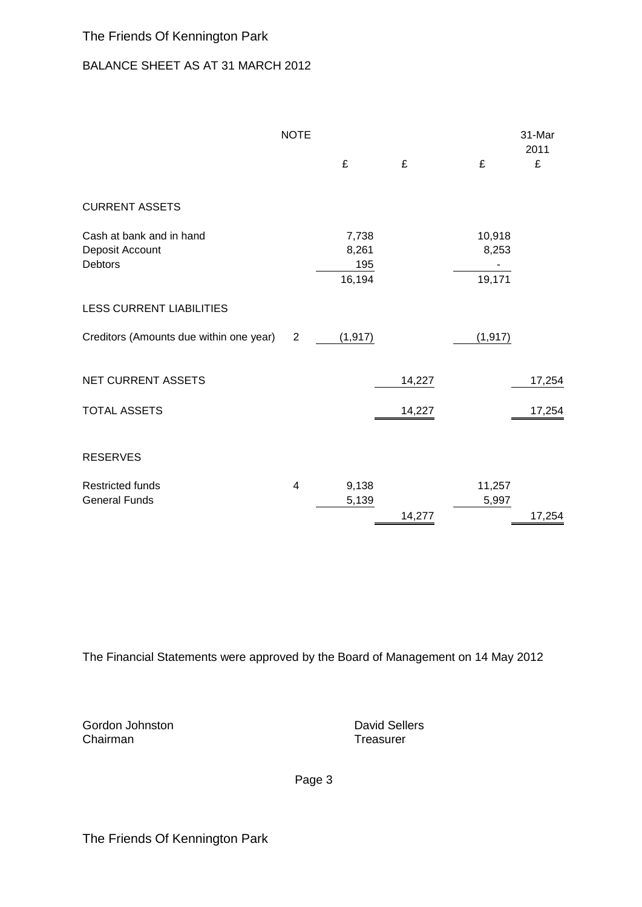# BALANCE SHEET AS AT 31 MARCH 2012

|                                                               | <b>NOTE</b>    |                                 |        |                           | 31-Mar<br>2011 |
|---------------------------------------------------------------|----------------|---------------------------------|--------|---------------------------|----------------|
|                                                               |                | £                               | £      | £                         | £              |
| <b>CURRENT ASSETS</b>                                         |                |                                 |        |                           |                |
| Cash at bank and in hand<br>Deposit Account<br><b>Debtors</b> |                | 7,738<br>8,261<br>195<br>16,194 |        | 10,918<br>8,253<br>19,171 |                |
| <b>LESS CURRENT LIABILITIES</b>                               |                |                                 |        |                           |                |
| Creditors (Amounts due within one year)                       | $\overline{2}$ | (1, 917)                        |        | (1, 917)                  |                |
| <b>NET CURRENT ASSETS</b>                                     |                |                                 | 14,227 |                           | 17,254         |
| <b>TOTAL ASSETS</b>                                           |                |                                 | 14,227 |                           | 17,254         |
| <b>RESERVES</b>                                               |                |                                 |        |                           |                |
| <b>Restricted funds</b><br><b>General Funds</b>               | 4              | 9,138<br>5,139                  | 14,277 | 11,257<br>5,997           | 17,254         |

The Financial Statements were approved by the Board of Management on 14 May 2012

Gordon Johnston **David Sellers**<br>
Chairman **David Sellers**<br>
Chairman **David Sellers** Chairman

Page 3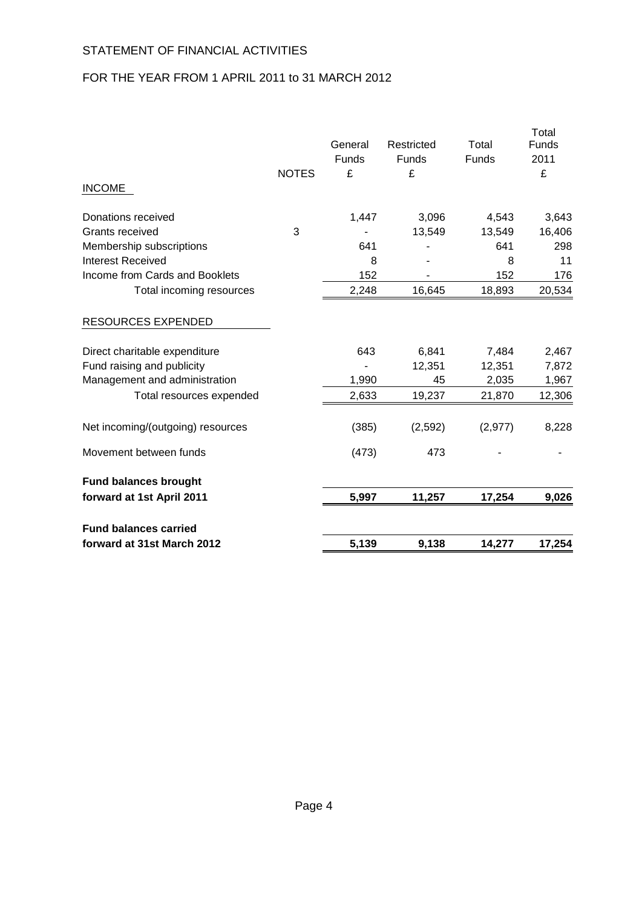# STATEMENT OF FINANCIAL ACTIVITIES

# FOR THE YEAR FROM 1 APRIL 2011 to 31 MARCH 2012

| forward at 31st March 2012            |              | 5,139                   | 9,138               | 14,277                | 17,254          |
|---------------------------------------|--------------|-------------------------|---------------------|-----------------------|-----------------|
| <b>Fund balances carried</b>          |              |                         |                     |                       |                 |
| forward at 1st April 2011             |              | 5,997                   | 11,257              | 17,254                | 9,026           |
| <b>Fund balances brought</b>          |              |                         |                     |                       |                 |
| Movement between funds                |              | (473)                   | 473                 |                       |                 |
| Net incoming/(outgoing) resources     |              | (385)                   | (2,592)             | (2, 977)              | 8,228           |
| Total resources expended              |              | 2,633                   | 19,237              | 21,870                | 12,306          |
| Management and administration         |              | 1,990                   | 45                  | 2,035                 | 1,967           |
| Fund raising and publicity            |              |                         | 12,351              | 12,351                | 7,872           |
| Direct charitable expenditure         |              | 643                     | 6,841               | 7,484                 | 2,467           |
| <b>RESOURCES EXPENDED</b>             |              |                         |                     |                       |                 |
| Total incoming resources              |              | 2,248                   | 16,645              | 18,893                | 20,534          |
| Income from Cards and Booklets        |              | 152                     |                     | 152                   | 176             |
| <b>Interest Received</b>              |              | 8                       |                     | 8                     | 11              |
| Membership subscriptions              |              | 641                     |                     | 641                   | 298             |
| Donations received<br>Grants received | 3            | 1,447                   | 3,096<br>13,549     | 4,543<br>13,549       | 3,643<br>16,406 |
| <b>INCOME</b>                         |              |                         |                     |                       |                 |
|                                       | <b>NOTES</b> | £                       | £                   |                       | £               |
|                                       |              | General<br><b>Funds</b> | Restricted<br>Funds | Total<br><b>Funds</b> | Funds<br>2011   |
|                                       |              |                         |                     |                       | Total           |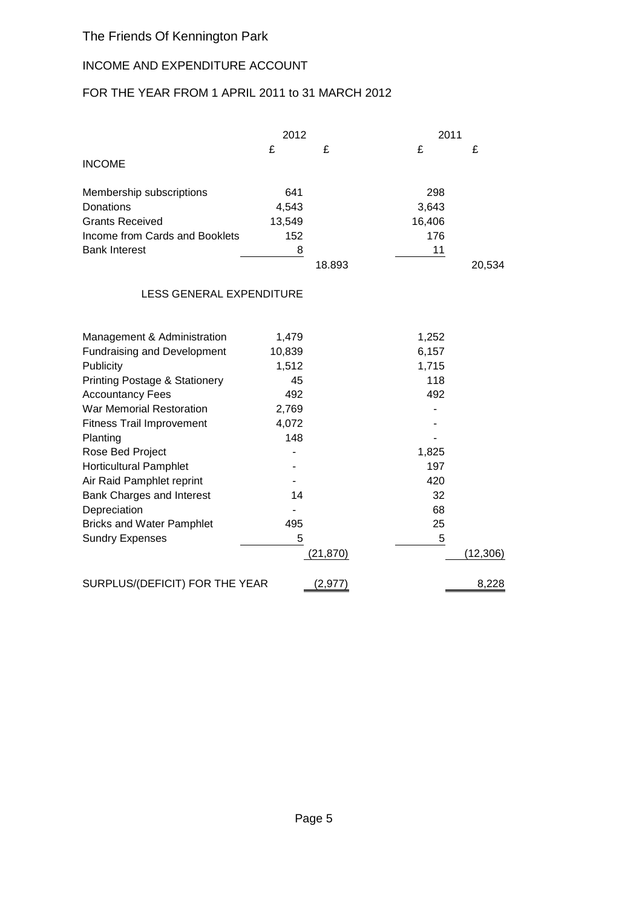# INCOME AND EXPENDITURE ACCOUNT

# FOR THE YEAR FROM 1 APRIL 2011 to 31 MARCH 2012

|                                 | 2012   |        | 2011   |        |
|---------------------------------|--------|--------|--------|--------|
|                                 | £      | £      | £      | £      |
| <b>INCOME</b>                   |        |        |        |        |
| Membership subscriptions        | 641    |        | 298    |        |
| Donations                       | 4,543  |        | 3,643  |        |
| <b>Grants Received</b>          | 13,549 |        | 16,406 |        |
| Income from Cards and Booklets  | 152    |        | 176    |        |
| <b>Bank Interest</b>            | 8      |        | 11     |        |
|                                 |        | 18.893 |        | 20,534 |
| $FOR$ $CENIFOMF. FVOPTNINIFIDF$ |        |        |        |        |

## LESS GENERAL EXPENDITURE

| Management & Administration        | 1,479  |           | 1,252 |          |
|------------------------------------|--------|-----------|-------|----------|
| <b>Fundraising and Development</b> | 10,839 |           | 6,157 |          |
| Publicity                          | 1,512  |           | 1,715 |          |
| Printing Postage & Stationery      | 45     |           | 118   |          |
| <b>Accountancy Fees</b>            | 492    |           | 492   |          |
| War Memorial Restoration           | 2,769  |           |       |          |
| <b>Fitness Trail Improvement</b>   | 4,072  |           |       |          |
| Planting                           | 148    |           |       |          |
| Rose Bed Project                   |        |           | 1,825 |          |
| Horticultural Pamphlet             |        |           | 197   |          |
| Air Raid Pamphlet reprint          |        |           | 420   |          |
| Bank Charges and Interest          | 14     |           | 32    |          |
| Depreciation                       |        |           | 68    |          |
| <b>Bricks and Water Pamphlet</b>   | 495    |           | 25    |          |
| <b>Sundry Expenses</b>             | 5      |           | 5     |          |
|                                    |        | (21, 870) |       | (12,306) |
| SURPLUS/(DEFICIT) FOR THE YEAR     |        | 2,97      |       | 8,228    |